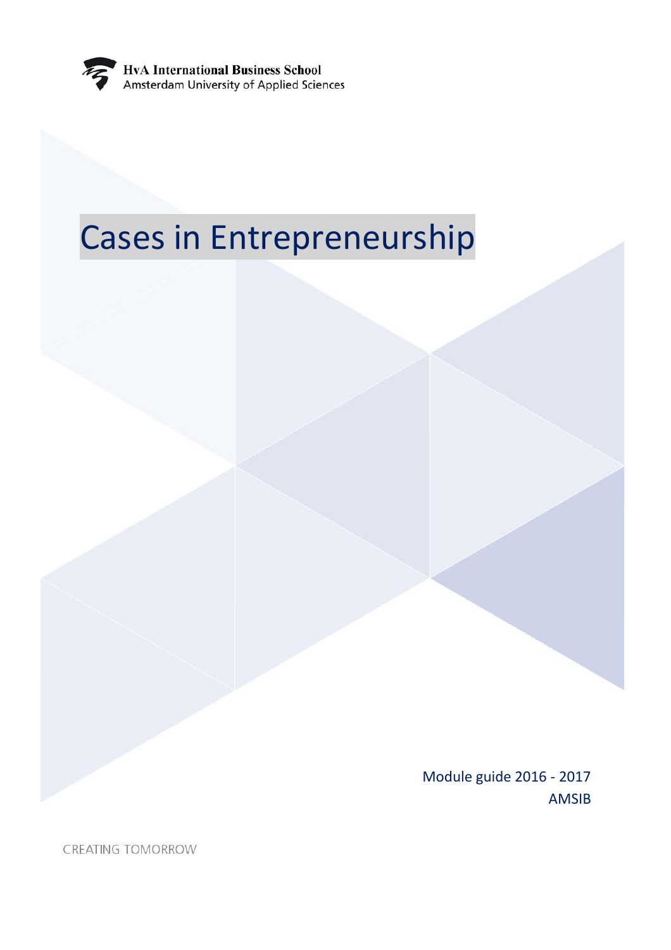

# Cases in Entrepreneurship

Module guide 2016 - 2017 AMSIB

CREATING TOMORROW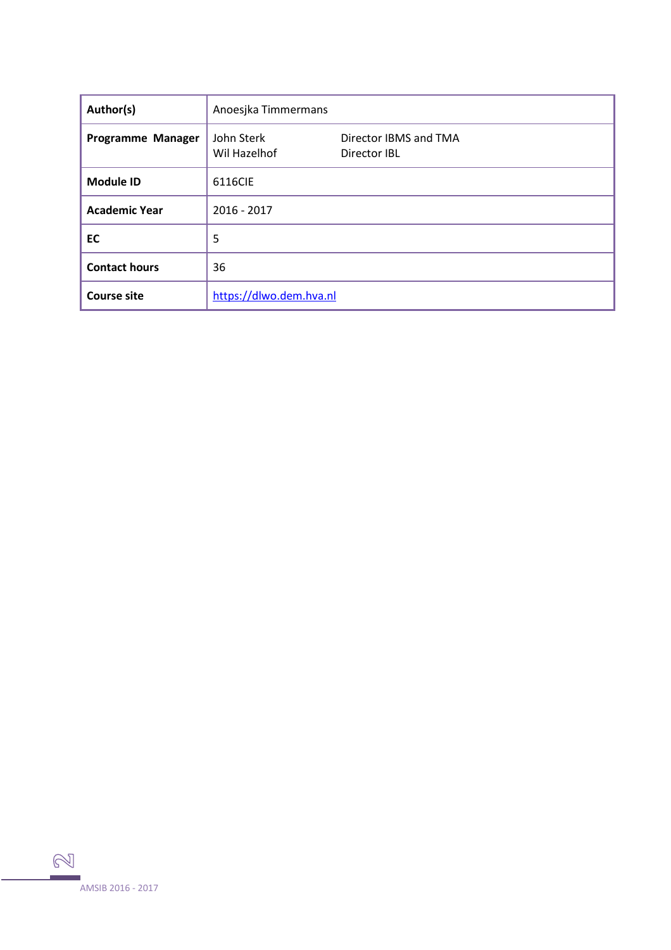| Author(s)            | Anoesjka Timmermans        |                                       |
|----------------------|----------------------------|---------------------------------------|
| Programme Manager    | John Sterk<br>Wil Hazelhof | Director IBMS and TMA<br>Director IBL |
| <b>Module ID</b>     | 6116CIE                    |                                       |
| <b>Academic Year</b> | $2016 - 2017$              |                                       |
| EC                   | 5                          |                                       |
| <b>Contact hours</b> | 36                         |                                       |
| <b>Course site</b>   | https://dlwo.dem.hva.nl    |                                       |

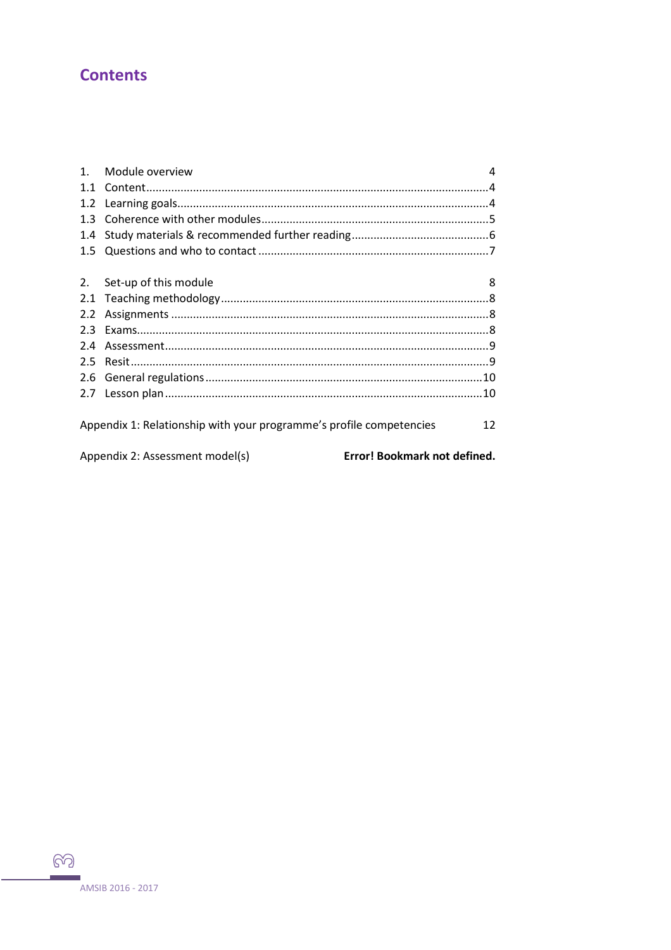# **Contents**

|                                                                           | Module overview                                                 | 4 |  |  |
|---------------------------------------------------------------------------|-----------------------------------------------------------------|---|--|--|
| 1.1                                                                       |                                                                 |   |  |  |
| 1.2                                                                       |                                                                 |   |  |  |
| 1.3                                                                       |                                                                 |   |  |  |
| 1.4                                                                       |                                                                 |   |  |  |
| 1.5                                                                       |                                                                 |   |  |  |
|                                                                           |                                                                 |   |  |  |
| 2.                                                                        | Set-up of this module                                           | 8 |  |  |
| 2.1                                                                       |                                                                 |   |  |  |
| 2.2                                                                       |                                                                 |   |  |  |
| 2.3                                                                       |                                                                 |   |  |  |
| 2.4                                                                       |                                                                 |   |  |  |
| 2.5                                                                       |                                                                 |   |  |  |
| 2.6                                                                       |                                                                 |   |  |  |
| 2.7                                                                       |                                                                 |   |  |  |
|                                                                           |                                                                 |   |  |  |
| Appendix 1: Relationship with your programme's profile competencies<br>12 |                                                                 |   |  |  |
|                                                                           |                                                                 |   |  |  |
|                                                                           | Error! Bookmark not defined.<br>Appendix 2: Assessment model(s) |   |  |  |

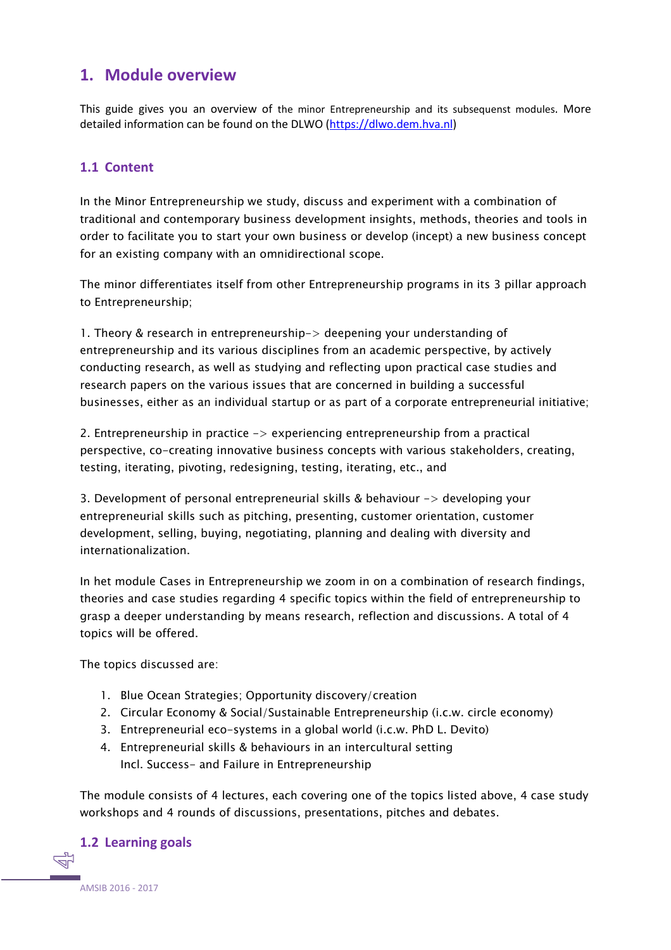## <span id="page-3-0"></span>**1. Module overview**

This guide gives you an overview of the minor Entrepreneurship and its subsequenst modules. More detailed information can be found on the DLWO [\(https://dlwo.dem.hva.nl\)](https://dlwo.dem.hva.nl/)

#### <span id="page-3-1"></span>**1.1 Content**

In the Minor Entrepreneurship we study, discuss and experiment with a combination of traditional and contemporary business development insights, methods, theories and tools in order to facilitate you to start your own business or develop (incept) a new business concept for an existing company with an omnidirectional scope.

The minor differentiates itself from other Entrepreneurship programs in its 3 pillar approach to Entrepreneurship;

1. Theory & research in entrepreneurship-> deepening your understanding of entrepreneurship and its various disciplines from an academic perspective, by actively conducting research, as well as studying and reflecting upon practical case studies and research papers on the various issues that are concerned in building a successful businesses, either as an individual startup or as part of a corporate entrepreneurial initiative;

2. Entrepreneurship in practice -> experiencing entrepreneurship from a practical perspective, co-creating innovative business concepts with various stakeholders, creating, testing, iterating, pivoting, redesigning, testing, iterating, etc., and

3. Development of personal entrepreneurial skills & behaviour -> developing your entrepreneurial skills such as pitching, presenting, customer orientation, customer development, selling, buying, negotiating, planning and dealing with diversity and internationalization.

In het module Cases in Entrepreneurship we zoom in on a combination of research findings, theories and case studies regarding 4 specific topics within the field of entrepreneurship to grasp a deeper understanding by means research, reflection and discussions. A total of 4 topics will be offered.

The topics discussed are:

- 1. Blue Ocean Strategies; Opportunity discovery/creation
- 2. Circular Economy & Social/Sustainable Entrepreneurship (i.c.w. circle economy)
- 3. Entrepreneurial eco-systems in a global world (i.c.w. PhD L. Devito)
- 4. Entrepreneurial skills & behaviours in an intercultural setting Incl. Success- and Failure in Entrepreneurship

The module consists of 4 lectures, each covering one of the topics listed above, 4 case study workshops and 4 rounds of discussions, presentations, pitches and debates.

#### <span id="page-3-2"></span>**1.2 Learning goals**

AMSIB 2016 - 2017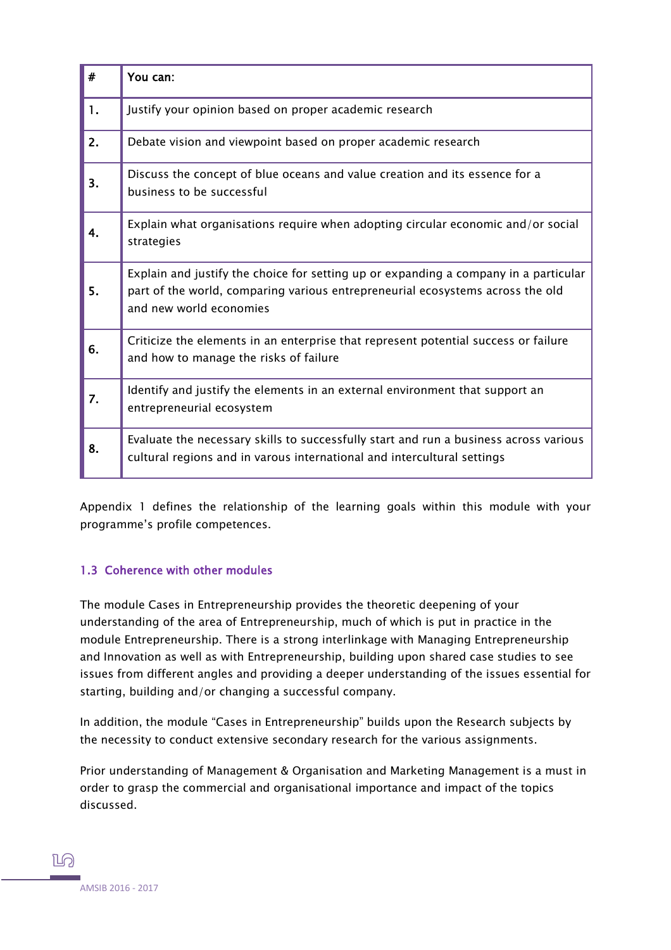| #  | You can:                                                                                                                                                                                          |
|----|---------------------------------------------------------------------------------------------------------------------------------------------------------------------------------------------------|
| 1. | Justify your opinion based on proper academic research                                                                                                                                            |
| 2. | Debate vision and viewpoint based on proper academic research                                                                                                                                     |
| 3. | Discuss the concept of blue oceans and value creation and its essence for a<br>business to be successful                                                                                          |
|    | Explain what organisations require when adopting circular economic and/or social<br>strategies                                                                                                    |
| 5. | Explain and justify the choice for setting up or expanding a company in a particular<br>part of the world, comparing various entrepreneurial ecosystems across the old<br>and new world economies |
| 6. | Criticize the elements in an enterprise that represent potential success or failure<br>and how to manage the risks of failure                                                                     |
| 7. | Identify and justify the elements in an external environment that support an<br>entrepreneurial ecosystem                                                                                         |
| 8. | Evaluate the necessary skills to successfully start and run a business across various<br>cultural regions and in varous international and intercultural settings                                  |

Appendix 1 defines the relationship of the learning goals within this module with your programme's profile competences.

#### <span id="page-4-0"></span>1.3 Coherence with other modules

The module Cases in Entrepreneurship provides the theoretic deepening of your understanding of the area of Entrepreneurship, much of which is put in practice in the module Entrepreneurship. There is a strong interlinkage with Managing Entrepreneurship and Innovation as well as with Entrepreneurship, building upon shared case studies to see issues from different angles and providing a deeper understanding of the issues essential for starting, building and/or changing a successful company.

In addition, the module "Cases in Entrepreneurship" builds upon the Research subjects by the necessity to conduct extensive secondary research for the various assignments.

Prior understanding of Management & Organisation and Marketing Management is a must in order to grasp the commercial and organisational importance and impact of the topics discussed.

**ILA**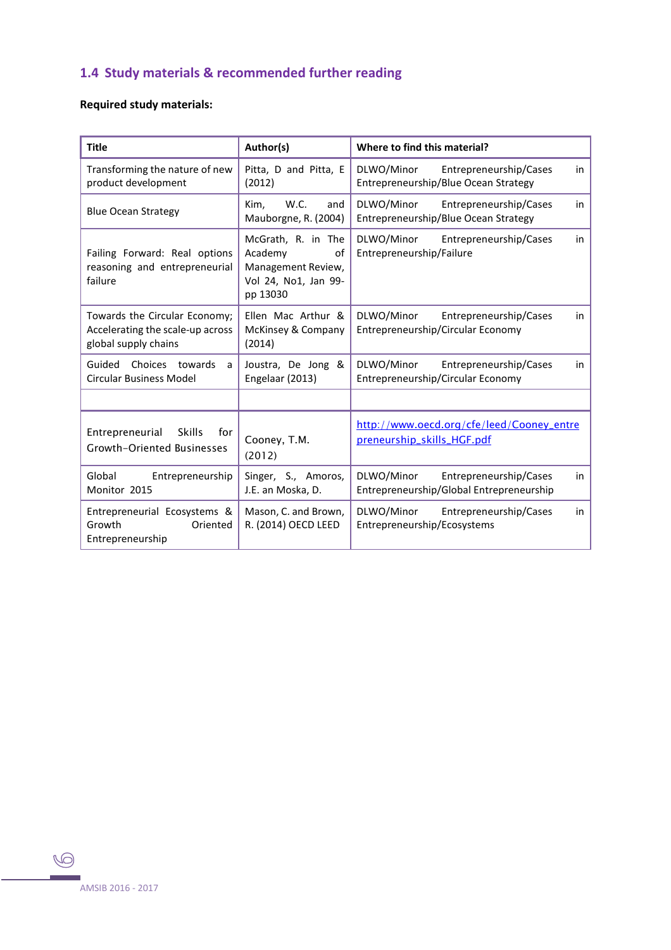# <span id="page-5-0"></span>**1.4 Study materials & recommended further reading**

#### **Required study materials:**

| <b>Title</b>                                                                              | Author(s)                                                                                     | Where to find this material?                                                           |
|-------------------------------------------------------------------------------------------|-----------------------------------------------------------------------------------------------|----------------------------------------------------------------------------------------|
| Transforming the nature of new<br>product development                                     | Pitta, D and Pitta, E<br>(2012)                                                               | DLWO/Minor<br>Entrepreneurship/Cases<br>in<br>Entrepreneurship/Blue Ocean Strategy     |
| <b>Blue Ocean Strategy</b>                                                                | W.C.<br>Kim,<br>and<br>Mauborgne, R. (2004)                                                   | DLWO/Minor<br>Entrepreneurship/Cases<br>in<br>Entrepreneurship/Blue Ocean Strategy     |
| Failing Forward: Real options<br>reasoning and entrepreneurial<br>failure                 | McGrath, R. in The<br>Academy<br>οf<br>Management Review,<br>Vol 24, No1, Jan 99-<br>pp 13030 | DLWO/Minor<br>Entrepreneurship/Cases<br>in<br>Entrepreneurship/Failure                 |
| Towards the Circular Economy;<br>Accelerating the scale-up across<br>global supply chains | Ellen Mac Arthur &<br>McKinsey & Company<br>(2014)                                            | DLWO/Minor<br>Entrepreneurship/Cases<br>in<br>Entrepreneurship/Circular Economy        |
| Guided<br>Choices<br>towards<br>a<br><b>Circular Business Model</b>                       | Joustra, De Jong &<br>Engelaar (2013)                                                         | DLWO/Minor<br>Entrepreneurship/Cases<br>in<br>Entrepreneurship/Circular Economy        |
|                                                                                           |                                                                                               |                                                                                        |
| Entrepreneurial<br><b>Skills</b><br>for<br><b>Growth-Oriented Businesses</b>              | Cooney, T.M.<br>(2012)                                                                        | http://www.oecd.org/cfe/leed/Cooney_entre<br>preneurship_skills_HGF.pdf                |
| Global<br>Entrepreneurship<br>Monitor 2015                                                | Singer, S., Amoros,<br>J.E. an Moska, D.                                                      | DLWO/Minor<br>Entrepreneurship/Cases<br>in<br>Entrepreneurship/Global Entrepreneurship |
| Entrepreneurial Ecosystems &<br>Growth<br>Oriented<br>Entrepreneurship                    | Mason, C. and Brown,<br>R. (2014) OECD LEED                                                   | DLWO/Minor<br>Entrepreneurship/Cases<br>in<br>Entrepreneurship/Ecosystems              |

 $\bigcirc$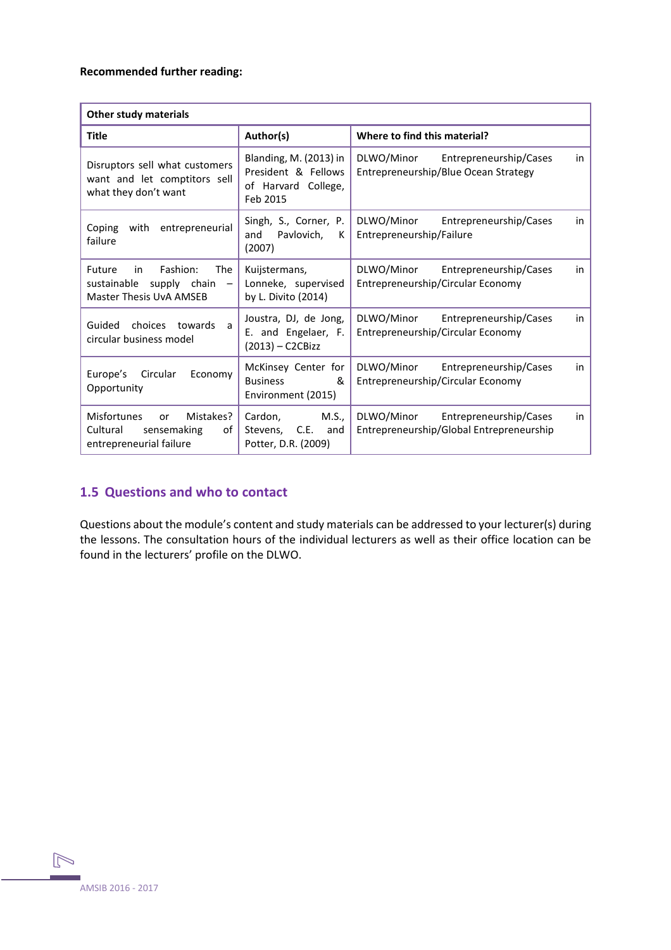#### **Recommended further reading:**

| <b>Other study materials</b>                                                                                                        |                                                                                  |                                                                                        |  |  |  |
|-------------------------------------------------------------------------------------------------------------------------------------|----------------------------------------------------------------------------------|----------------------------------------------------------------------------------------|--|--|--|
| <b>Title</b>                                                                                                                        | Author(s)                                                                        | Where to find this material?                                                           |  |  |  |
| Disruptors sell what customers<br>want and let comptitors sell<br>what they don't want                                              | Blanding, M. (2013) in<br>President & Fellows<br>of Harvard College,<br>Feb 2015 | DLWO/Minor<br>Entrepreneurship/Cases<br>in<br>Entrepreneurship/Blue Ocean Strategy     |  |  |  |
| entrepreneurial<br>Coping<br>with<br>failure                                                                                        | Singh, S., Corner, P.<br>and<br>Pavlovich,<br>К<br>(2007)                        | DLWO/Minor<br>Entrepreneurship/Cases<br>in<br>Entrepreneurship/Failure                 |  |  |  |
| Fashion:<br><b>The</b><br>Future<br>in<br>sustainable<br>supply chain<br>$\overline{\phantom{m}}$<br><b>Master Thesis UvA AMSEB</b> | Kuijstermans,<br>Lonneke, supervised<br>by L. Divito (2014)                      | DLWO/Minor<br>Entrepreneurship/Cases<br>in<br>Entrepreneurship/Circular Economy        |  |  |  |
| towards<br>Guided<br>choices<br>a<br>circular business model                                                                        | Joustra, DJ, de Jong,<br>E. and Engelaer, F.<br>(2013) - C2CBizz                 | DLWO/Minor<br>Entrepreneurship/Cases<br>in<br>Entrepreneurship/Circular Economy        |  |  |  |
| Circular<br>Europe's<br>Economy<br>Opportunity                                                                                      | McKinsey Center for<br><b>Business</b><br>&<br>Environment (2015)                | DLWO/Minor<br>Entrepreneurship/Cases<br>in<br>Entrepreneurship/Circular Economy        |  |  |  |
| <b>Misfortunes</b><br>Mistakes?<br>or<br>Cultural<br>sensemaking<br>of<br>entrepreneurial failure                                   | M.S.,<br>Cardon,<br>Stevens, C.E.<br>and<br>Potter, D.R. (2009)                  | DLWO/Minor<br>Entrepreneurship/Cases<br>in<br>Entrepreneurship/Global Entrepreneurship |  |  |  |

#### <span id="page-6-0"></span>**1.5 Questions and who to contact**

Questions about the module's content and study materials can be addressed to your lecturer(s) during the lessons. The consultation hours of the individual lecturers as well as their office location can be found in the lecturers' profile on the DLWO.

 $\mathbb{N}$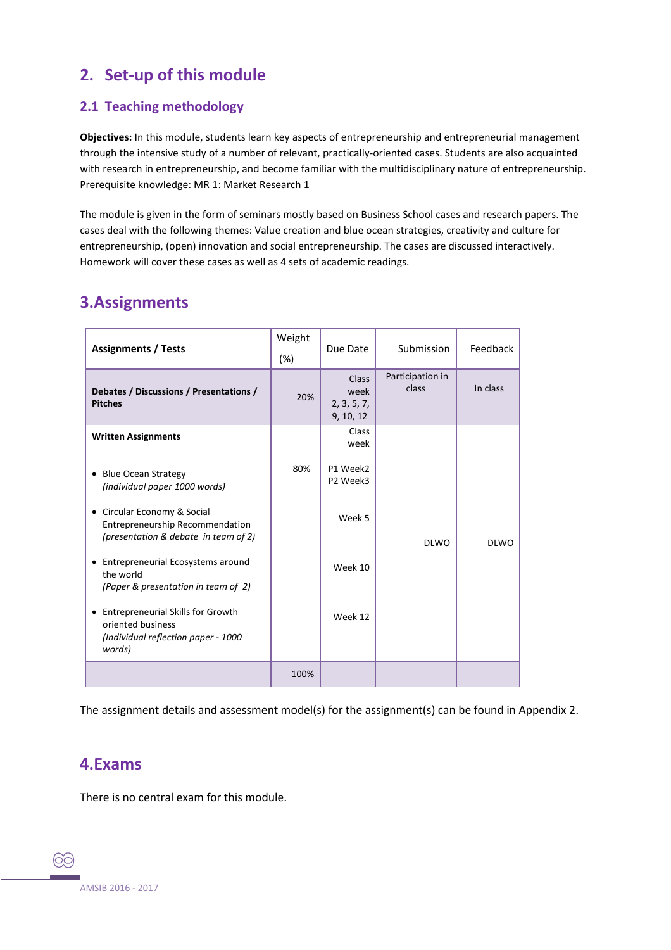# <span id="page-7-0"></span>**2. Set-up of this module**

#### <span id="page-7-1"></span>**2.1 Teaching methodology**

**Objectives:** In this module, students learn key aspects of entrepreneurship and entrepreneurial management through the intensive study of a number of relevant, practically-oriented cases. Students are also acquainted with research in entrepreneurship, and become familiar with the multidisciplinary nature of entrepreneurship. Prerequisite knowledge: MR 1: Market Research 1

The module is given in the form of seminars mostly based on Business School cases and research papers. The cases deal with the following themes: Value creation and blue ocean strategies, creativity and culture for entrepreneurship, (open) innovation and social entrepreneurship. The cases are discussed interactively. Homework will cover these cases as well as 4 sets of academic readings.

# <span id="page-7-2"></span>**3.Assignments**

| <b>Assignments / Tests</b>                                                                                     | Weight<br>(%) | Due Date                                  | Submission                | Feedback    |
|----------------------------------------------------------------------------------------------------------------|---------------|-------------------------------------------|---------------------------|-------------|
| Debates / Discussions / Presentations /<br><b>Pitches</b>                                                      | 20%           | Class<br>week<br>2, 3, 5, 7,<br>9, 10, 12 | Participation in<br>class | In class    |
| <b>Written Assignments</b>                                                                                     |               | Class<br>week                             |                           |             |
| <b>Blue Ocean Strategy</b><br>$\bullet$<br>(individual paper 1000 words)                                       | 80%           | P1 Week2<br>P2 Week3                      |                           |             |
| Circular Economy & Social<br>٠<br>Entrepreneurship Recommendation<br>(presentation & debate in team of 2)      |               | Week 5                                    | <b>DLWO</b>               | <b>DLWO</b> |
| Entrepreneurial Ecosystems around<br>the world<br>(Paper & presentation in team of 2)                          |               | Week 10                                   |                           |             |
| <b>Entrepreneurial Skills for Growth</b><br>oriented business<br>(Individual reflection paper - 1000<br>words) |               | Week 12                                   |                           |             |
|                                                                                                                | 100%          |                                           |                           |             |

The assignment details and assessment model(s) for the assignment(s) can be found in Appendix 2.

### <span id="page-7-3"></span>**4.Exams**

There is no central exam for this module.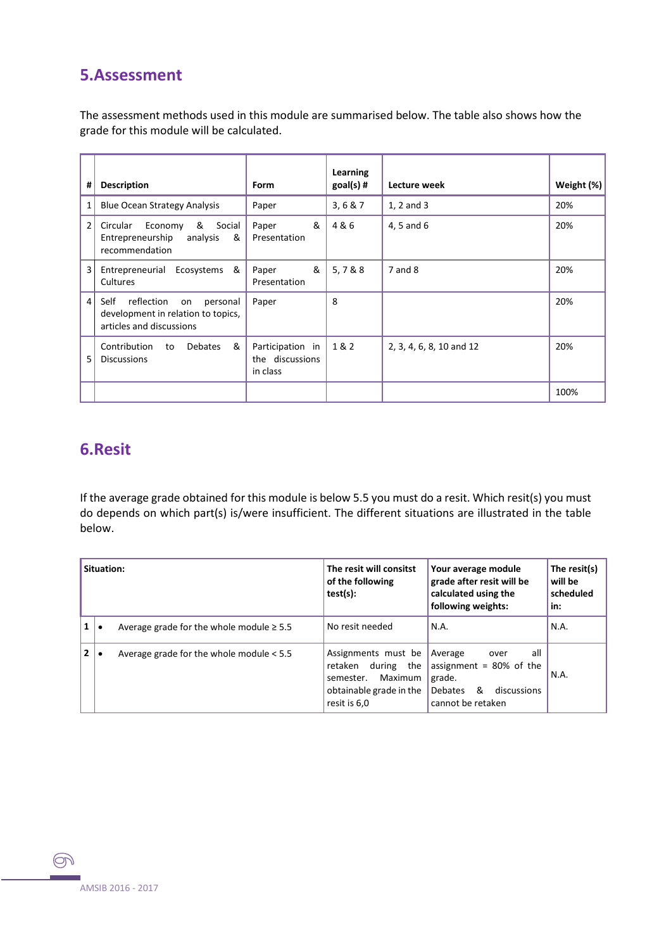## <span id="page-8-0"></span>**5.Assessment**

The assessment methods used in this module are summarised below. The table also shows how the grade for this module will be calculated.

| #              | <b>Description</b>                                                                                     | <b>Form</b>                                     | Learning<br>$goal(s)$ # | Lecture week             | Weight $(\%)$ |
|----------------|--------------------------------------------------------------------------------------------------------|-------------------------------------------------|-------------------------|--------------------------|---------------|
| 1              | <b>Blue Ocean Strategy Analysis</b>                                                                    | Paper                                           | 3, 6 & 7                | 1, 2 and 3               | 20%           |
| $\overline{2}$ | & Social<br>Circular<br>Economy<br>Entrepreneurship<br>analysis<br>&<br>recommendation                 | &<br>Paper<br>Presentation                      | 4&6                     | 4, 5 and 6               | 20%           |
| 3              | Entrepreneurial Ecosystems<br>&<br>Cultures                                                            | &<br>Paper<br>Presentation                      | 5,7&8                   | 7 and 8                  | 20%           |
| 4              | reflection<br>Self<br>on<br>personal<br>development in relation to topics,<br>articles and discussions | Paper                                           | 8                       |                          | 20%           |
| 5              | &<br>Contribution<br><b>Debates</b><br>to<br><b>Discussions</b>                                        | Participation in<br>the discussions<br>in class | 1&2                     | 2, 3, 4, 6, 8, 10 and 12 | 20%           |
|                |                                                                                                        |                                                 |                         |                          | 100%          |

## <span id="page-8-1"></span>**6.Resit**

If the average grade obtained for this module is below 5.5 you must do a resit. Which resit(s) you must do depends on which part(s) is/were insufficient. The different situations are illustrated in the table below.

| Situation:   |  |                                               | The resit will consitst<br>of the following<br>$test(s)$ :                                                   | Your average module<br>grade after resit will be<br>calculated using the<br>following weights:                            | The resit(s)<br>will be<br>scheduled<br>in: |
|--------------|--|-----------------------------------------------|--------------------------------------------------------------------------------------------------------------|---------------------------------------------------------------------------------------------------------------------------|---------------------------------------------|
| $\mathbf{1}$ |  | Average grade for the whole module $\geq 5.5$ | No resit needed                                                                                              | N.A.                                                                                                                      | N.A.                                        |
| $\mathbf{2}$ |  | Average grade for the whole module $< 5.5$    | Assignments must be<br>retaken during the<br>Maximum<br>semester.<br>obtainable grade in the<br>resit is 6,0 | all<br>Average<br>over<br>assignment = $80\%$ of the<br>grade.<br><b>Debates</b><br>&<br>discussions<br>cannot be retaken | N.A.                                        |

<span id="page-8-2"></span> $\circledcirc$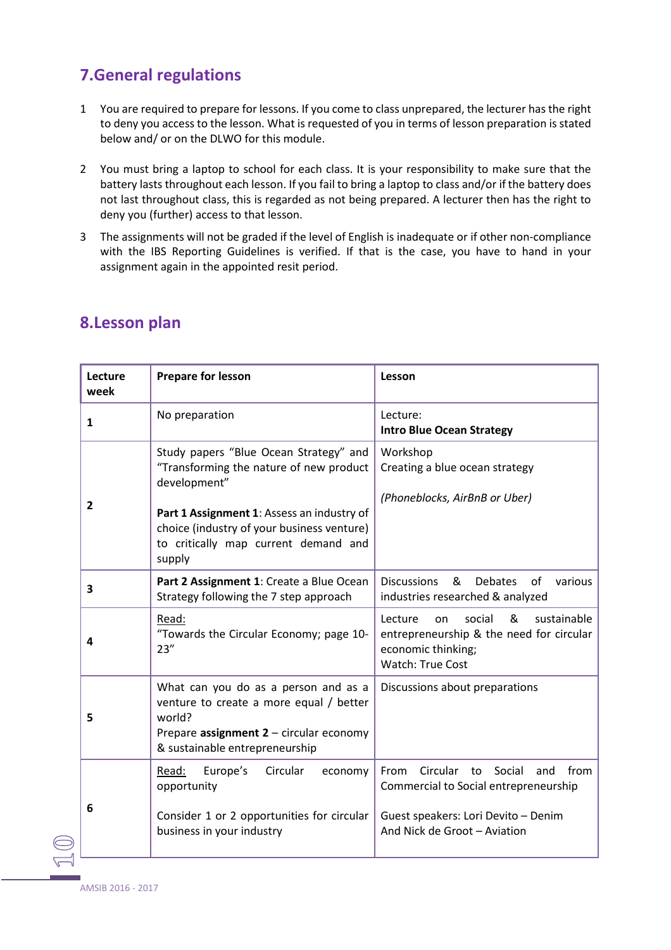# **7.General regulations**

- 1 You are required to prepare for lessons. If you come to class unprepared, the lecturer has the right to deny you access to the lesson. What is requested of you in terms of lesson preparation is stated below and/ or on the DLWO for this module.
- 2 You must bring a laptop to school for each class. It is your responsibility to make sure that the battery lasts throughout each lesson. If you fail to bring a laptop to class and/or if the battery does not last throughout class, this is regarded as not being prepared. A lecturer then has the right to deny you (further) access to that lesson.
- 3 The assignments will not be graded if the level of English is inadequate or if other non-compliance with the IBS Reporting Guidelines is verified. If that is the case, you have to hand in your assignment again in the appointed resit period.

| Lecture<br>week | <b>Prepare for lesson</b>                                                                                                                                                                                                                       | Lesson                                                                                                                                                       |
|-----------------|-------------------------------------------------------------------------------------------------------------------------------------------------------------------------------------------------------------------------------------------------|--------------------------------------------------------------------------------------------------------------------------------------------------------------|
| $\mathbf{1}$    | No preparation                                                                                                                                                                                                                                  | Lecture:<br><b>Intro Blue Ocean Strategy</b>                                                                                                                 |
| $\overline{2}$  | Study papers "Blue Ocean Strategy" and<br>"Transforming the nature of new product<br>development"<br>Part 1 Assignment 1: Assess an industry of<br>choice (industry of your business venture)<br>to critically map current demand and<br>supply | Workshop<br>Creating a blue ocean strategy<br>(Phoneblocks, AirBnB or Uber)                                                                                  |
| 3               | Part 2 Assignment 1: Create a Blue Ocean<br>Strategy following the 7 step approach                                                                                                                                                              | &<br><b>Debates</b><br>of<br><b>Discussions</b><br>various<br>industries researched & analyzed                                                               |
| 4               | Read:<br>"Towards the Circular Economy; page 10-<br>23''                                                                                                                                                                                        | social<br>&<br>sustainable<br>Lecture<br>on<br>entrepreneurship & the need for circular<br>economic thinking;<br><b>Watch: True Cost</b>                     |
| 5               | What can you do as a person and as a<br>venture to create a more equal / better<br>world?<br>Prepare assignment 2 - circular economy<br>& sustainable entrepreneurship                                                                          | Discussions about preparations                                                                                                                               |
| 6               | Europe's<br>Circular<br>Read:<br>economy<br>opportunity<br>Consider 1 or 2 opportunities for circular<br>business in your industry                                                                                                              | Circular<br>to Social<br>from<br>From<br>and<br>Commercial to Social entrepreneurship<br>Guest speakers: Lori Devito - Denim<br>And Nick de Groot - Aviation |

# <span id="page-9-0"></span>**8.Lesson plan**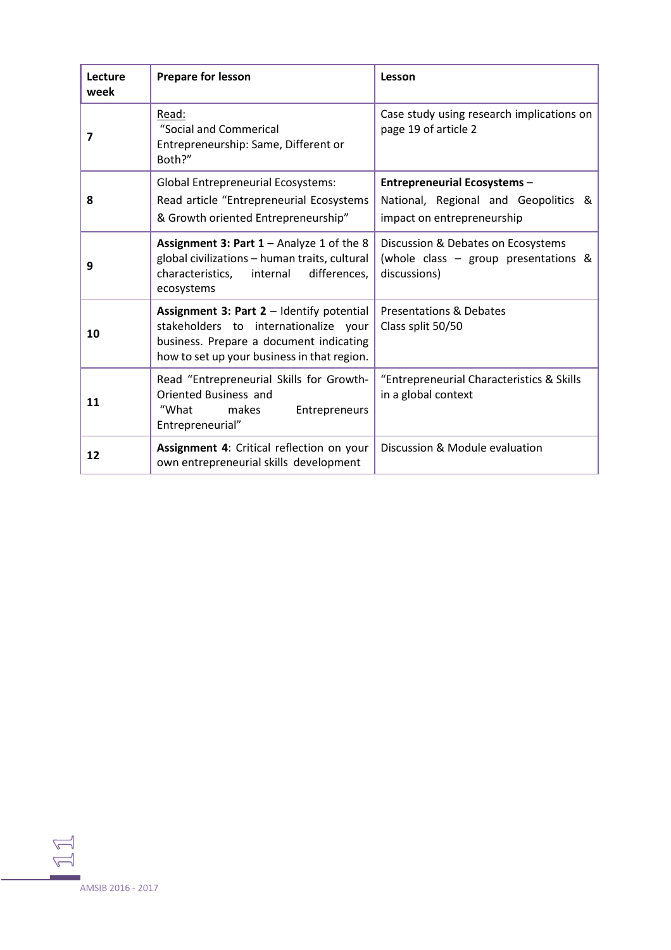| Lecture<br>week | <b>Prepare for lesson</b>                                                                                                                                                    | Lesson                                                                                                    |
|-----------------|------------------------------------------------------------------------------------------------------------------------------------------------------------------------------|-----------------------------------------------------------------------------------------------------------|
| 7               | Read:<br>"Social and Commerical<br>Entrepreneurship: Same, Different or<br>Both?"                                                                                            | Case study using research implications on<br>page 19 of article 2                                         |
| 8               | <b>Global Entrepreneurial Ecosystems:</b><br>Read article "Entrepreneurial Ecosystems<br>& Growth oriented Entrepreneurship"                                                 | <b>Entrepreneurial Ecosystems -</b><br>National, Regional and Geopolitics &<br>impact on entrepreneurship |
| 9               | Assignment 3: Part $1 -$ Analyze 1 of the 8<br>global civilizations - human traits, cultural<br>characteristics,<br>differences,<br>internal<br>ecosystems                   | Discussion & Debates on Ecosystems<br>(whole class - group presentations &<br>discussions)                |
| 10              | Assignment 3: Part 2 - Identify potential<br>stakeholders to internationalize your<br>business. Prepare a document indicating<br>how to set up your business in that region. | <b>Presentations &amp; Debates</b><br>Class split 50/50                                                   |
| 11              | Read "Entrepreneurial Skills for Growth-<br>Oriented Business and<br>"What<br>makes<br>Entrepreneurs<br>Entrepreneurial"                                                     | "Entrepreneurial Characteristics & Skills<br>in a global context                                          |
| 12              | Assignment 4: Critical reflection on your<br>own entrepreneurial skills development                                                                                          | Discussion & Module evaluation                                                                            |